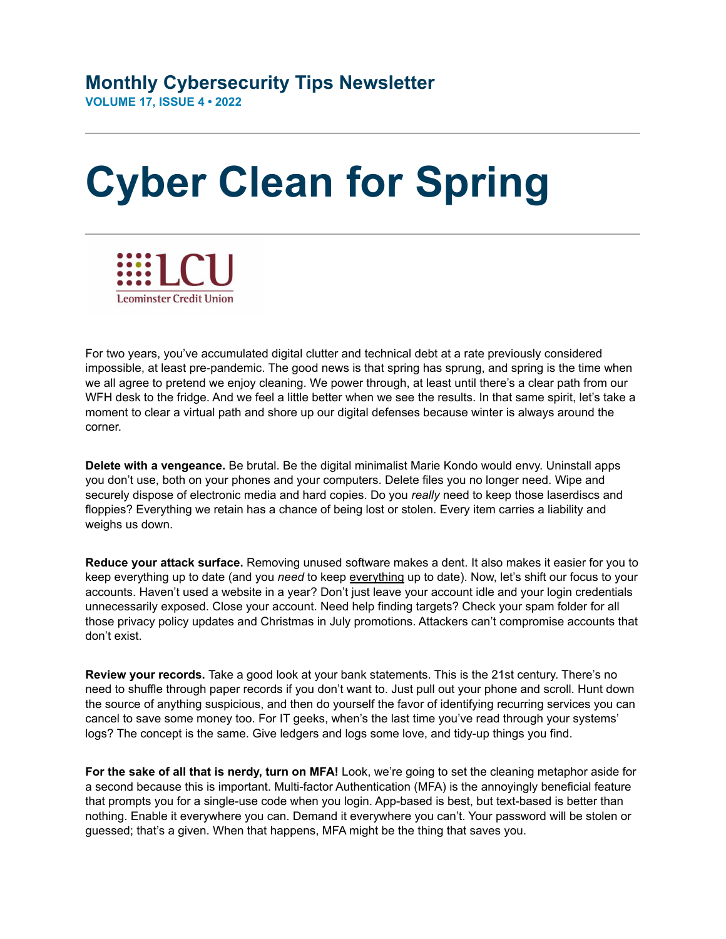## **Monthly Cybersecurity Tips Newsletter VOLUME 17, ISSUE 4 • 2022**

## **Cyber Clean for Spring**



For two years, you've accumulated digital clutter and technical debt at a rate previously considered impossible, at least pre-pandemic. The good news is that spring has sprung, and spring is the time when we all agree to pretend we enjoy cleaning. We power through, at least until there's a clear path from our WFH desk to the fridge. And we feel a little better when we see the results. In that same spirit, let's take a moment to clear a virtual path and shore up our digital defenses because winter is always around the corner.

**Delete with a vengeance.** Be brutal. Be the digital minimalist Marie Kondo would envy. Uninstall apps you don't use, both on your phones and your computers. Delete files you no longer need. Wipe and securely dispose of electronic media and hard copies. Do you *really* need to keep those laserdiscs and floppies? Everything we retain has a chance of being lost or stolen. Every item carries a liability and weighs us down.

**Reduce your attack surface.** Removing unused software makes a dent. It also makes it easier for you to keep everything up to date (and you *need* to keep everything up to date). Now, let's shift our focus to your accounts. Haven't used a website in a year? Don't just leave your account idle and your login credentials unnecessarily exposed. Close your account. Need help finding targets? Check your spam folder for all those privacy policy updates and Christmas in July promotions. Attackers can't compromise accounts that don't exist.

**Review your records.** Take a good look at your bank statements. This is the 21st century. There's no need to shuffle through paper records if you don't want to. Just pull out your phone and scroll. Hunt down the source of anything suspicious, and then do yourself the favor of identifying recurring services you can cancel to save some money too. For IT geeks, when's the last time you've read through your systems' logs? The concept is the same. Give ledgers and logs some love, and tidy-up things you find.

**For the sake of all that is nerdy, turn on MFA!** Look, we're going to set the cleaning metaphor aside for a second because this is important. Multi-factor Authentication (MFA) is the annoyingly beneficial feature that prompts you for a single-use code when you login. App-based is best, but text-based is better than nothing. Enable it everywhere you can. Demand it everywhere you can't. Your password will be stolen or guessed; that's a given. When that happens, MFA might be the thing that saves you.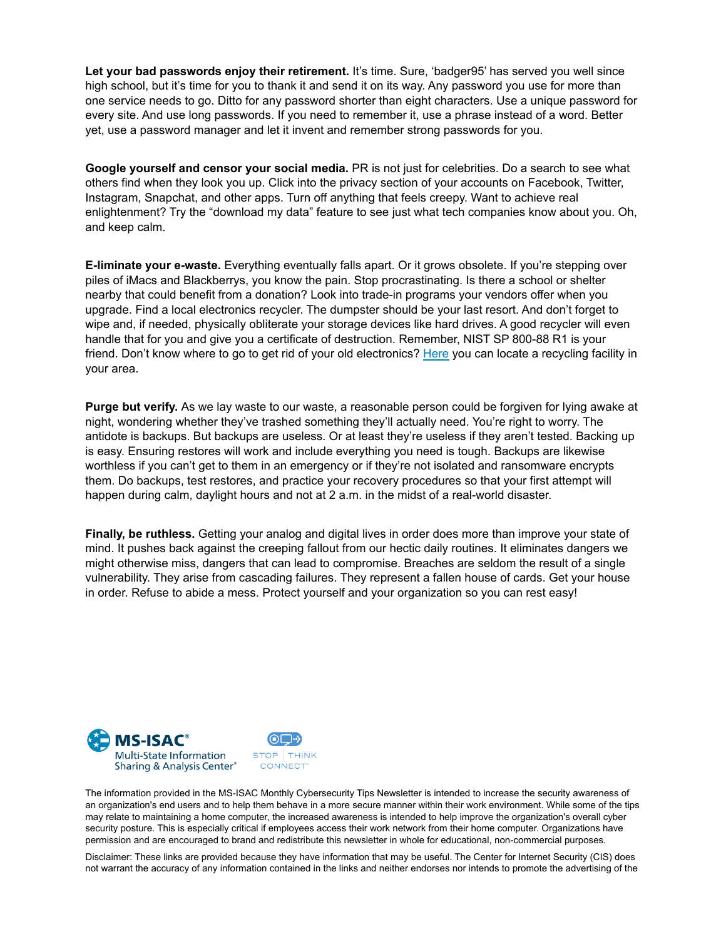**Let your bad passwords enjoy their retirement.** It's time. Sure, 'badger95' has served you well since high school, but it's time for you to thank it and send it on its way. Any password you use for more than one service needs to go. Ditto for any password shorter than eight characters. Use a unique password for every site. And use long passwords. If you need to remember it, use a phrase instead of a word. Better yet, use a password manager and let it invent and remember strong passwords for you.

**Google yourself and censor your social media.** PR is not just for celebrities. Do a search to see what others find when they look you up. Click into the privacy section of your accounts on Facebook, Twitter, Instagram, Snapchat, and other apps. Turn off anything that feels creepy. Want to achieve real enlightenment? Try the "download my data" feature to see just what tech companies know about you. Oh, and keep calm.

**E-liminate your e-waste.** Everything eventually falls apart. Or it grows obsolete. If you're stepping over piles of iMacs and Blackberrys, you know the pain. Stop procrastinating. Is there a school or shelter nearby that could benefit from a donation? Look into trade-in programs your vendors offer when you upgrade. Find a local electronics recycler. The dumpster should be your last resort. And don't forget to wipe and, if needed, physically obliterate your storage devices like hard drives. A good recycler will even handle that for you and give you a certificate of destruction. Remember, NIST SP 800-88 R1 is your friend. Don't know where to go to get rid of your old electronics? [Here](https://www.cta.tech/Landing-Pages/Greener-Gadgets/Recycle-Locator#/) you can locate a recycling facility in your area.

**Purge but verify.** As we lay waste to our waste, a reasonable person could be forgiven for lying awake at night, wondering whether they've trashed something they'll actually need. You're right to worry. The antidote is backups. But backups are useless. Or at least they're useless if they aren't tested. Backing up is easy. Ensuring restores will work and include everything you need is tough. Backups are likewise worthless if you can't get to them in an emergency or if they're not isolated and ransomware encrypts them. Do backups, test restores, and practice your recovery procedures so that your first attempt will happen during calm, daylight hours and not at 2 a.m. in the midst of a real-world disaster.

**Finally, be ruthless.** Getting your analog and digital lives in order does more than improve your state of mind. It pushes back against the creeping fallout from our hectic daily routines. It eliminates dangers we might otherwise miss, dangers that can lead to compromise. Breaches are seldom the result of a single vulnerability. They arise from cascading failures. They represent a fallen house of cards. Get your house in order. Refuse to abide a mess. Protect yourself and your organization so you can rest easy!



The information provided in the MS-ISAC Monthly Cybersecurity Tips Newsletter is intended to increase the security awareness of an organization's end users and to help them behave in a more secure manner within their work environment. While some of the tips may relate to maintaining a home computer, the increased awareness is intended to help improve the organization's overall cyber security posture. This is especially critical if employees access their work network from their home computer. Organizations have permission and are encouraged to brand and redistribute this newsletter in whole for educational, non-commercial purposes.

Disclaimer: These links are provided because they have information that may be useful. The Center for Internet Security (CIS) does not warrant the accuracy of any information contained in the links and neither endorses nor intends to promote the advertising of the